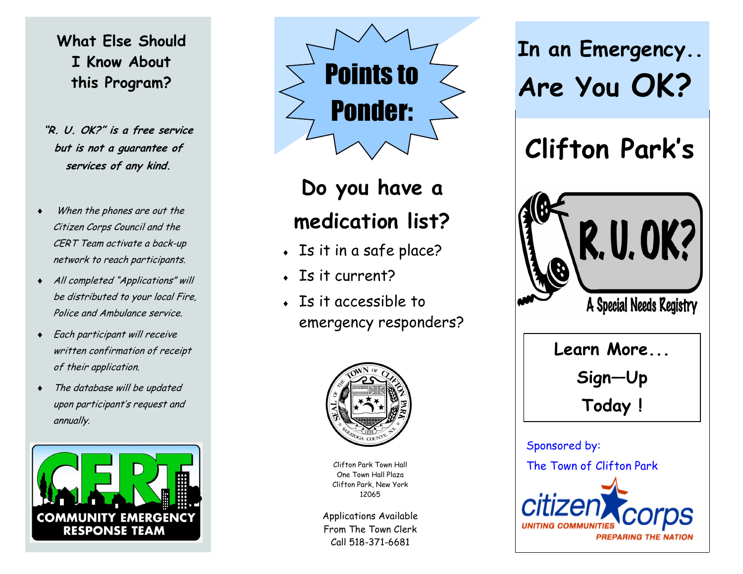### **What Else Should I Know About this Program?**

- **"R. U. OK?" is a free service but is not a guarantee of services of any kind.**
- When the phones are out the Citizen Corps Council and the CERT Team activate a back-up network to reach participants.
- All completed "Applications" will be distributed to your local Fire, Police and Ambulance service.
- Each participant will receive written confirmation of receipt of their application.
- The database will be updated upon participant's request and annually.





# **Do you have a medication list?**

- Is it in a safe place?
- $\overline{\phantom{a}}$  Is it current?
- Is it accessible to emergency responders?



Clifton Park Town Hall One Town Hall Plaza Clifton Park, New York 12065

Applications Available From The Town Clerk Call 518-371-6681